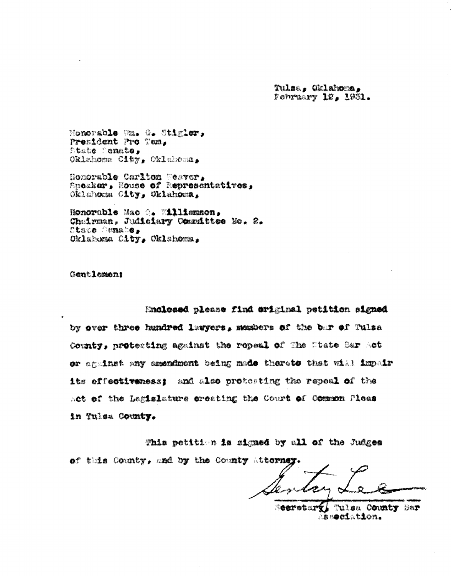Tulsa. Oklahoma. February 12, 1931.

Honorable Wm. G. Stigler. President Pro Tem. State Senate, Oklahoma City, Oklahoma,

Homorable Carlton Meaver, Speaker, House of Representatives, Oklahoma City, Oklahoma,

Honorable Mac (. Willimson, Chairman, Judiciary Committee No. 2. State Comate, Oklahama City, Oklahoma,

Gentlemen!

Enclosed please find original petition signed

by over three hundred lawyers, members of the bar of Tulsa County, protecting against the repeal of The State Bar Act or aguinst any amendment being made therete that will impair its offectiveness: and also protesting the repeal of the Act of the Legislature creating the Court of Common Pleas in Tulsa County.

This petition is signed by all of the Judges of this County, and by the County Attorns

**Searetary** Tulsa County Bar association.